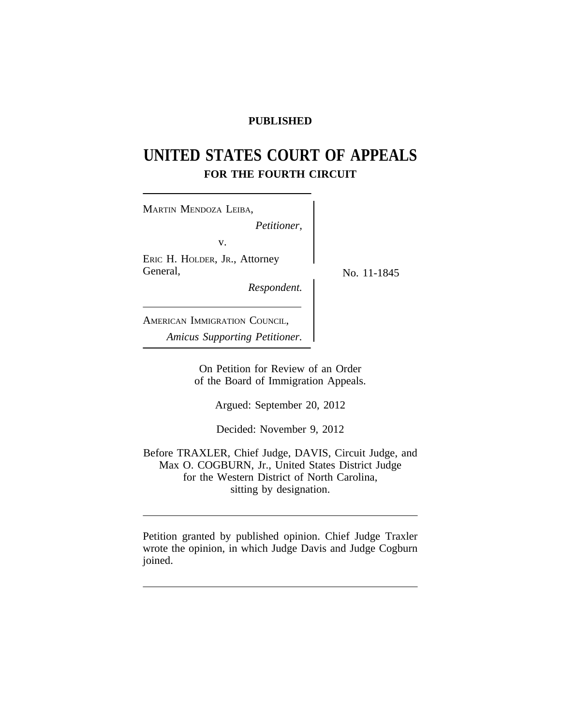## **PUBLISHED**

# **UNITED STATES COURT OF APPEALS FOR THE FOURTH CIRCUIT**

<sup>M</sup>ARTIN MENDOZA LEIBA, *Petitioner,* v. ERIC H. HOLDER, JR., Attorney General,  $N_{\text{O}}$ , 11-1845 *Respondent.* AMERICAN IMMIGRATION COUNCIL, *Amicus Supporting Petitioner.*

> On Petition for Review of an Order of the Board of Immigration Appeals.

> > Argued: September 20, 2012

Decided: November 9, 2012

Before TRAXLER, Chief Judge, DAVIS, Circuit Judge, and Max O. COGBURN, Jr., United States District Judge for the Western District of North Carolina, sitting by designation.

Petition granted by published opinion. Chief Judge Traxler wrote the opinion, in which Judge Davis and Judge Cogburn joined.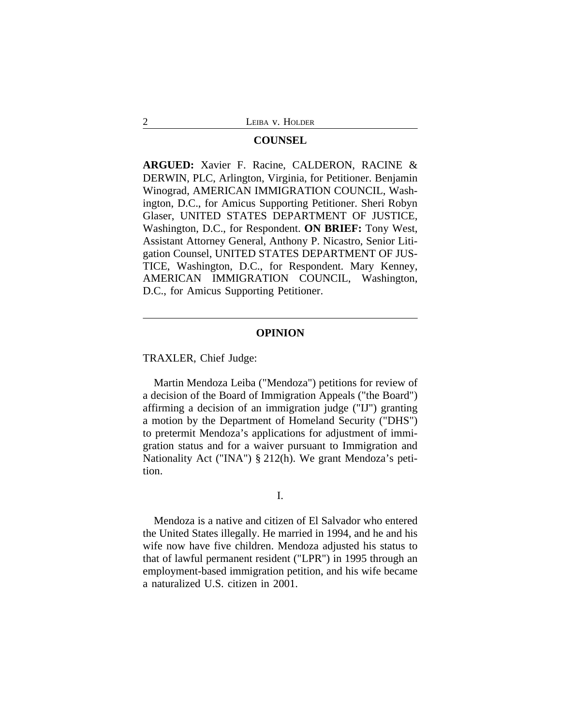#### **COUNSEL**

**ARGUED:** Xavier F. Racine, CALDERON, RACINE & DERWIN, PLC, Arlington, Virginia, for Petitioner. Benjamin Winograd, AMERICAN IMMIGRATION COUNCIL, Washington, D.C., for Amicus Supporting Petitioner. Sheri Robyn Glaser, UNITED STATES DEPARTMENT OF JUSTICE, Washington, D.C., for Respondent. **ON BRIEF:** Tony West, Assistant Attorney General, Anthony P. Nicastro, Senior Litigation Counsel, UNITED STATES DEPARTMENT OF JUS-TICE, Washington, D.C., for Respondent. Mary Kenney, AMERICAN IMMIGRATION COUNCIL, Washington, D.C., for Amicus Supporting Petitioner.

### **OPINION**

TRAXLER, Chief Judge:

Martin Mendoza Leiba ("Mendoza") petitions for review of a decision of the Board of Immigration Appeals ("the Board") affirming a decision of an immigration judge ("IJ") granting a motion by the Department of Homeland Security ("DHS") to pretermit Mendoza's applications for adjustment of immigration status and for a waiver pursuant to Immigration and Nationality Act ("INA") § 212(h). We grant Mendoza's petition.

### I.

Mendoza is a native and citizen of El Salvador who entered the United States illegally. He married in 1994, and he and his wife now have five children. Mendoza adjusted his status to that of lawful permanent resident ("LPR") in 1995 through an employment-based immigration petition, and his wife became a naturalized U.S. citizen in 2001.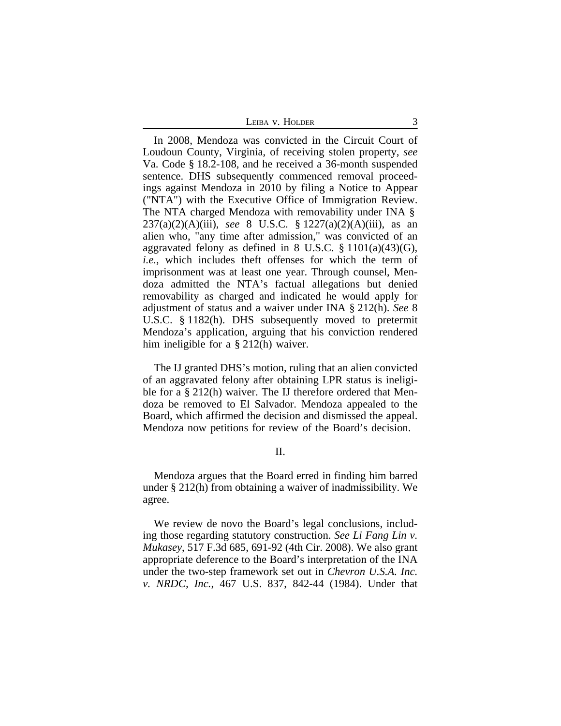In 2008, Mendoza was convicted in the Circuit Court of Loudoun County, Virginia, of receiving stolen property, *see* Va. Code § 18.2-108, and he received a 36-month suspended sentence. DHS subsequently commenced removal proceedings against Mendoza in 2010 by filing a Notice to Appear ("NTA") with the Executive Office of Immigration Review. The NTA charged Mendoza with removability under INA § 237(a)(2)(A)(iii), *see* 8 U.S.C. § 1227(a)(2)(A)(iii), as an alien who, "any time after admission," was convicted of an aggravated felony as defined in 8 U.S.C.  $\S$  1101(a)(43)(G), *i.e.*, which includes theft offenses for which the term of imprisonment was at least one year. Through counsel, Mendoza admitted the NTA's factual allegations but denied removability as charged and indicated he would apply for adjustment of status and a waiver under INA § 212(h). *See* 8 U.S.C. § 1182(h). DHS subsequently moved to pretermit Mendoza's application, arguing that his conviction rendered him ineligible for a § 212(h) waiver.

The IJ granted DHS's motion, ruling that an alien convicted of an aggravated felony after obtaining LPR status is ineligible for a § 212(h) waiver. The IJ therefore ordered that Mendoza be removed to El Salvador. Mendoza appealed to the Board, which affirmed the decision and dismissed the appeal. Mendoza now petitions for review of the Board's decision.

II.

Mendoza argues that the Board erred in finding him barred under § 212(h) from obtaining a waiver of inadmissibility. We agree.

We review de novo the Board's legal conclusions, including those regarding statutory construction. *See Li Fang Lin v. Mukasey*, 517 F.3d 685, 691-92 (4th Cir. 2008). We also grant appropriate deference to the Board's interpretation of the INA under the two-step framework set out in *Chevron U.S.A. Inc. v. NRDC, Inc.*, 467 U.S. 837, 842-44 (1984). Under that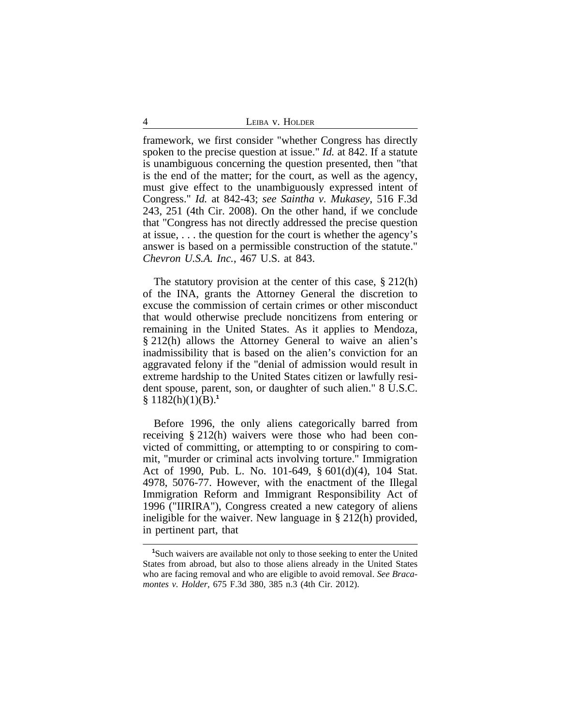4 LEIBA v. HOLDER

framework, we first consider "whether Congress has directly spoken to the precise question at issue." *Id.* at 842. If a statute is unambiguous concerning the question presented, then "that is the end of the matter; for the court, as well as the agency, must give effect to the unambiguously expressed intent of Congress." *Id.* at 842-43; *see Saintha v. Mukasey*, 516 F.3d 243, 251 (4th Cir. 2008). On the other hand, if we conclude that "Congress has not directly addressed the precise question at issue, . . . the question for the court is whether the agency's answer is based on a permissible construction of the statute." *Chevron U.S.A. Inc.*, 467 U.S. at 843.

The statutory provision at the center of this case,  $\S 212(h)$ of the INA, grants the Attorney General the discretion to excuse the commission of certain crimes or other misconduct that would otherwise preclude noncitizens from entering or remaining in the United States. As it applies to Mendoza, § 212(h) allows the Attorney General to waive an alien's inadmissibility that is based on the alien's conviction for an aggravated felony if the "denial of admission would result in extreme hardship to the United States citizen or lawfully resident spouse, parent, son, or daughter of such alien." 8 U.S.C. § 1182(h)(1)(B).**<sup>1</sup>**

Before 1996, the only aliens categorically barred from receiving § 212(h) waivers were those who had been convicted of committing, or attempting to or conspiring to commit, "murder or criminal acts involving torture." Immigration Act of 1990, Pub. L. No. 101-649, § 601(d)(4), 104 Stat. 4978, 5076-77. However, with the enactment of the Illegal Immigration Reform and Immigrant Responsibility Act of 1996 ("IIRIRA"), Congress created a new category of aliens ineligible for the waiver. New language in § 212(h) provided, in pertinent part, that

**<sup>1</sup>**Such waivers are available not only to those seeking to enter the United States from abroad, but also to those aliens already in the United States who are facing removal and who are eligible to avoid removal. *See Bracamontes v. Holder*, 675 F.3d 380, 385 n.3 (4th Cir. 2012).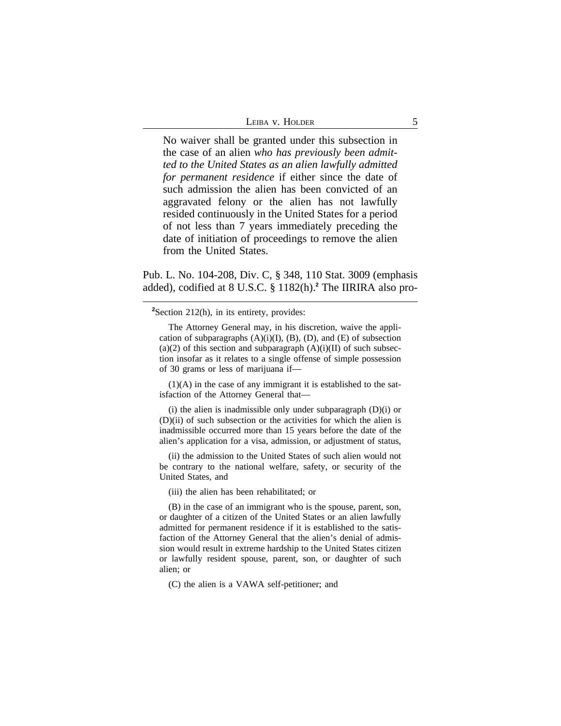| Leiba v. Holder |  |
|-----------------|--|
|                 |  |

No waiver shall be granted under this subsection in the case of an alien *who has previously been admitted to the United States as an alien lawfully admitted for permanent residence* if either since the date of such admission the alien has been convicted of an aggravated felony or the alien has not lawfully resided continuously in the United States for a period of not less than 7 years immediately preceding the date of initiation of proceedings to remove the alien from the United States.

Pub. L. No. 104-208, Div. C, § 348, 110 Stat. 3009 (emphasis added), codified at 8 U.S.C. § 1182(h).**<sup>2</sup>** The IIRIRA also pro-

**<sup>2</sup>**Section 212(h), in its entirety, provides:

The Attorney General may, in his discretion, waive the application of subparagraphs  $(A)(i)(I)$ ,  $(B)$ ,  $(D)$ , and  $(E)$  of subsection  $(a)(2)$  of this section and subparagraph  $(A)(i)(II)$  of such subsection insofar as it relates to a single offense of simple possession of 30 grams or less of marijuana if—

 $(1)(A)$  in the case of any immigrant it is established to the satisfaction of the Attorney General that—

(i) the alien is inadmissible only under subparagraph  $(D)(i)$  or (D)(ii) of such subsection or the activities for which the alien is inadmissible occurred more than 15 years before the date of the alien's application for a visa, admission, or adjustment of status,

(ii) the admission to the United States of such alien would not be contrary to the national welfare, safety, or security of the United States, and

(iii) the alien has been rehabilitated; or

(B) in the case of an immigrant who is the spouse, parent, son, or daughter of a citizen of the United States or an alien lawfully admitted for permanent residence if it is established to the satisfaction of the Attorney General that the alien's denial of admission would result in extreme hardship to the United States citizen or lawfully resident spouse, parent, son, or daughter of such alien; or

(C) the alien is a VAWA self-petitioner; and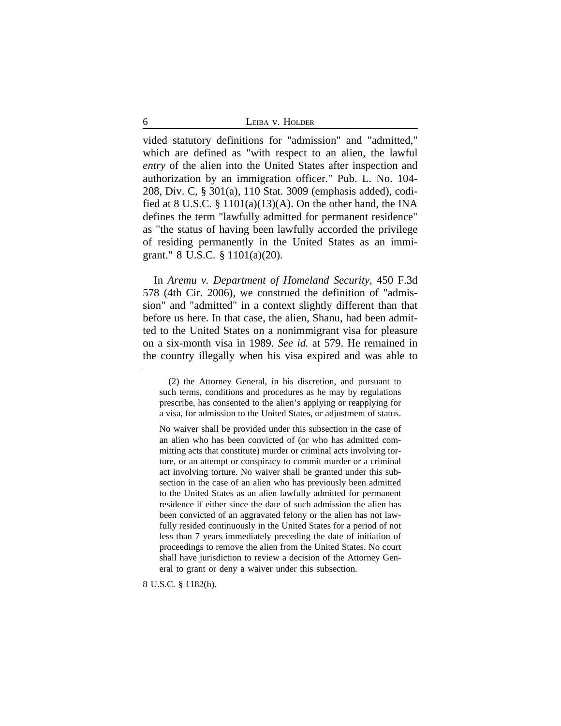6 LEIBA v. HOLDER

vided statutory definitions for "admission" and "admitted," which are defined as "with respect to an alien, the lawful *entry* of the alien into the United States after inspection and authorization by an immigration officer." Pub. L. No. 104- 208, Div. C, § 301(a), 110 Stat. 3009 (emphasis added), codified at 8 U.S.C.  $\S$  1101(a)(13)(A). On the other hand, the INA defines the term "lawfully admitted for permanent residence" as "the status of having been lawfully accorded the privilege of residing permanently in the United States as an immigrant." 8 U.S.C. § 1101(a)(20).

In *Aremu v. Department of Homeland Security*, 450 F.3d 578 (4th Cir. 2006), we construed the definition of "admission" and "admitted" in a context slightly different than that before us here. In that case, the alien, Shanu, had been admitted to the United States on a nonimmigrant visa for pleasure on a six-month visa in 1989. *See id.* at 579. He remained in the country illegally when his visa expired and was able to

8 U.S.C. § 1182(h).

<sup>(2)</sup> the Attorney General, in his discretion, and pursuant to such terms, conditions and procedures as he may by regulations prescribe, has consented to the alien's applying or reapplying for a visa, for admission to the United States, or adjustment of status.

No waiver shall be provided under this subsection in the case of an alien who has been convicted of (or who has admitted committing acts that constitute) murder or criminal acts involving torture, or an attempt or conspiracy to commit murder or a criminal act involving torture. No waiver shall be granted under this subsection in the case of an alien who has previously been admitted to the United States as an alien lawfully admitted for permanent residence if either since the date of such admission the alien has been convicted of an aggravated felony or the alien has not lawfully resided continuously in the United States for a period of not less than 7 years immediately preceding the date of initiation of proceedings to remove the alien from the United States. No court shall have jurisdiction to review a decision of the Attorney General to grant or deny a waiver under this subsection.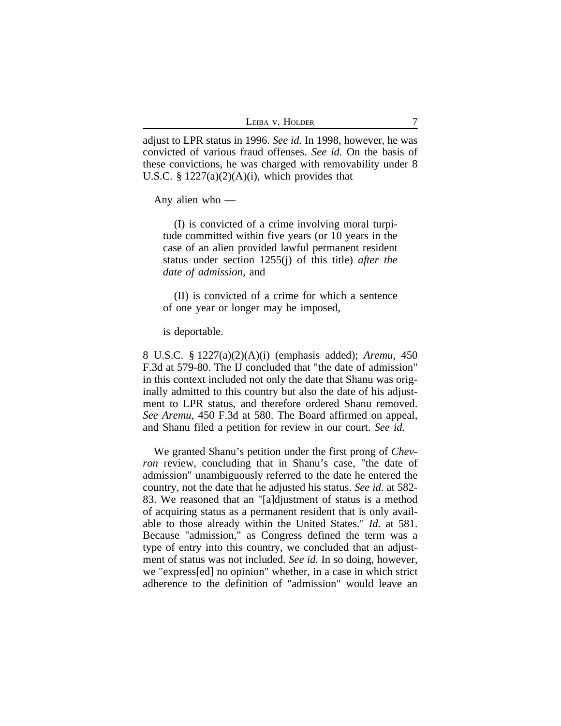| Leiba v. Holder |  |
|-----------------|--|
|                 |  |

adjust to LPR status in 1996. *See id.* In 1998, however, he was convicted of various fraud offenses. *See id.* On the basis of these convictions, he was charged with removability under 8 U.S.C.  $\S 1227(a)(2)(A)(i)$ , which provides that

Any alien who —

(I) is convicted of a crime involving moral turpitude committed within five years (or 10 years in the case of an alien provided lawful permanent resident status under section 1255(j) of this title) *after the date of admission*, and

(II) is convicted of a crime for which a sentence of one year or longer may be imposed,

is deportable.

8 U.S.C. § 1227(a)(2)(A)(i) (emphasis added); *Aremu*, 450 F.3d at 579-80. The IJ concluded that "the date of admission" in this context included not only the date that Shanu was originally admitted to this country but also the date of his adjustment to LPR status, and therefore ordered Shanu removed. *See Aremu*, 450 F.3d at 580. The Board affirmed on appeal, and Shanu filed a petition for review in our court. *See id.*

We granted Shanu's petition under the first prong of *Chevron* review, concluding that in Shanu's case, "the date of admission" unambiguously referred to the date he entered the country, not the date that he adjusted his status. *See id.* at 582- 83. We reasoned that an "[a]djustment of status is a method of acquiring status as a permanent resident that is only available to those already within the United States." *Id.* at 581. Because "admission," as Congress defined the term was a type of entry into this country, we concluded that an adjustment of status was not included. *See id.* In so doing, however, we "express[ed] no opinion" whether, in a case in which strict adherence to the definition of "admission" would leave an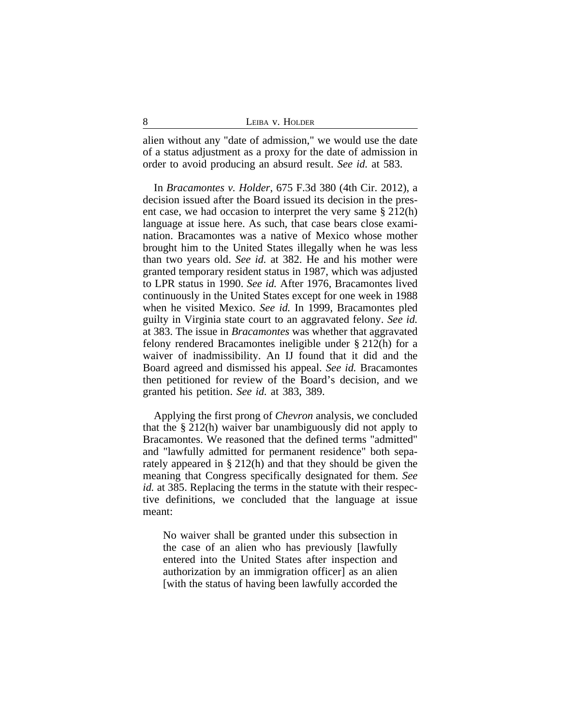alien without any "date of admission," we would use the date of a status adjustment as a proxy for the date of admission in order to avoid producing an absurd result. *See id.* at 583.

In *Bracamontes v. Holder*, 675 F.3d 380 (4th Cir. 2012), a decision issued after the Board issued its decision in the present case, we had occasion to interpret the very same § 212(h) language at issue here. As such, that case bears close examination. Bracamontes was a native of Mexico whose mother brought him to the United States illegally when he was less than two years old. *See id.* at 382. He and his mother were granted temporary resident status in 1987, which was adjusted to LPR status in 1990. *See id.* After 1976, Bracamontes lived continuously in the United States except for one week in 1988 when he visited Mexico. *See id.* In 1999, Bracamontes pled guilty in Virginia state court to an aggravated felony. *See id.* at 383. The issue in *Bracamontes* was whether that aggravated felony rendered Bracamontes ineligible under § 212(h) for a waiver of inadmissibility. An IJ found that it did and the Board agreed and dismissed his appeal. *See id.* Bracamontes then petitioned for review of the Board's decision, and we granted his petition. *See id.* at 383, 389.

Applying the first prong of *Chevron* analysis, we concluded that the § 212(h) waiver bar unambiguously did not apply to Bracamontes. We reasoned that the defined terms "admitted" and "lawfully admitted for permanent residence" both separately appeared in § 212(h) and that they should be given the meaning that Congress specifically designated for them. *See id.* at 385. Replacing the terms in the statute with their respective definitions, we concluded that the language at issue meant:

No waiver shall be granted under this subsection in the case of an alien who has previously [lawfully entered into the United States after inspection and authorization by an immigration officer] as an alien [with the status of having been lawfully accorded the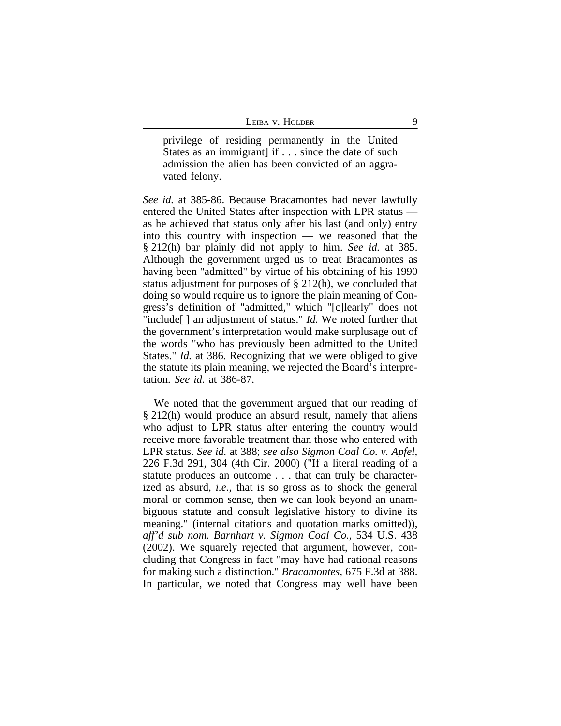privilege of residing permanently in the United States as an immigrant] if . . . since the date of such admission the alien has been convicted of an aggravated felony.

*See id.* at 385-86. Because Bracamontes had never lawfully entered the United States after inspection with LPR status as he achieved that status only after his last (and only) entry into this country with inspection — we reasoned that the § 212(h) bar plainly did not apply to him. *See id.* at 385. Although the government urged us to treat Bracamontes as having been "admitted" by virtue of his obtaining of his 1990 status adjustment for purposes of § 212(h), we concluded that doing so would require us to ignore the plain meaning of Congress's definition of "admitted," which "[c]learly" does not "include[ ] an adjustment of status." *Id.* We noted further that the government's interpretation would make surplusage out of the words "who has previously been admitted to the United States." *Id.* at 386. Recognizing that we were obliged to give the statute its plain meaning, we rejected the Board's interpretation. *See id.* at 386-87.

We noted that the government argued that our reading of § 212(h) would produce an absurd result, namely that aliens who adjust to LPR status after entering the country would receive more favorable treatment than those who entered with LPR status. *See id.* at 388; *see also Sigmon Coal Co. v. Apfel*, 226 F.3d 291, 304 (4th Cir. 2000) ("If a literal reading of a statute produces an outcome . . . that can truly be characterized as absurd, *i.e.*, that is so gross as to shock the general moral or common sense, then we can look beyond an unambiguous statute and consult legislative history to divine its meaning." (internal citations and quotation marks omitted)), *aff'd sub nom. Barnhart v. Sigmon Coal Co.*, 534 U.S. 438 (2002). We squarely rejected that argument, however, concluding that Congress in fact "may have had rational reasons for making such a distinction." *Bracamontes*, 675 F.3d at 388. In particular, we noted that Congress may well have been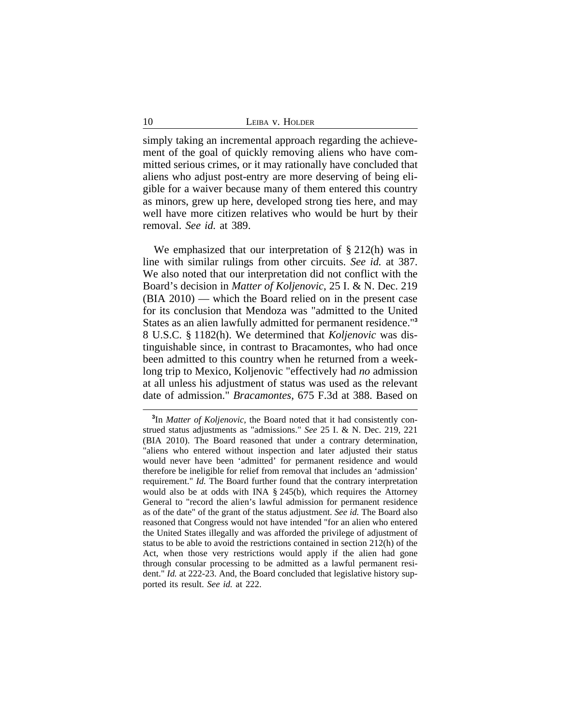simply taking an incremental approach regarding the achievement of the goal of quickly removing aliens who have committed serious crimes, or it may rationally have concluded that aliens who adjust post-entry are more deserving of being eligible for a waiver because many of them entered this country as minors, grew up here, developed strong ties here, and may well have more citizen relatives who would be hurt by their removal. *See id.* at 389.

We emphasized that our interpretation of § 212(h) was in line with similar rulings from other circuits. *See id.* at 387. We also noted that our interpretation did not conflict with the Board's decision in *Matter of Koljenovic*, 25 I. & N. Dec. 219 (BIA 2010) — which the Board relied on in the present case for its conclusion that Mendoza was "admitted to the United States as an alien lawfully admitted for permanent residence."**<sup>3</sup>** 8 U.S.C. § 1182(h). We determined that *Koljenovic* was distinguishable since, in contrast to Bracamontes, who had once been admitted to this country when he returned from a weeklong trip to Mexico, Koljenovic "effectively had *no* admission at all unless his adjustment of status was used as the relevant date of admission." *Bracamontes*, 675 F.3d at 388. Based on

**<sup>3</sup>** In *Matter of Koljenovic*, the Board noted that it had consistently construed status adjustments as "admissions." *See* 25 I. & N. Dec. 219, 221 (BIA 2010). The Board reasoned that under a contrary determination, "aliens who entered without inspection and later adjusted their status would never have been 'admitted' for permanent residence and would therefore be ineligible for relief from removal that includes an 'admission' requirement." *Id.* The Board further found that the contrary interpretation would also be at odds with INA § 245(b), which requires the Attorney General to "record the alien's lawful admission for permanent residence as of the date" of the grant of the status adjustment. *See id.* The Board also reasoned that Congress would not have intended "for an alien who entered the United States illegally and was afforded the privilege of adjustment of status to be able to avoid the restrictions contained in section 212(h) of the Act, when those very restrictions would apply if the alien had gone through consular processing to be admitted as a lawful permanent resident." *Id.* at 222-23. And, the Board concluded that legislative history supported its result. *See id.* at 222.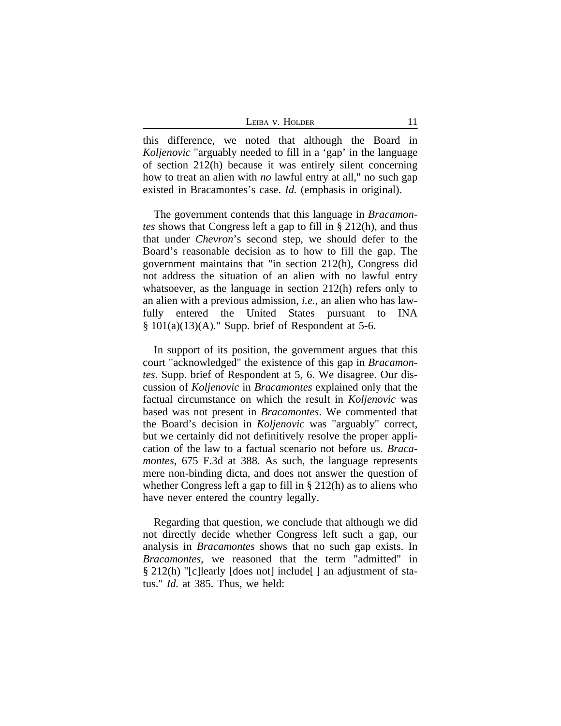| LEIBA V. HOLDER |  |  |  |
|-----------------|--|--|--|
|-----------------|--|--|--|

this difference, we noted that although the Board in *Koljenovic* "arguably needed to fill in a 'gap' in the language of section 212(h) because it was entirely silent concerning how to treat an alien with *no* lawful entry at all," no such gap existed in Bracamontes's case. *Id.* (emphasis in original).

The government contends that this language in *Bracamontes* shows that Congress left a gap to fill in § 212(h), and thus that under *Chevron*'s second step, we should defer to the Board's reasonable decision as to how to fill the gap. The government maintains that "in section 212(h), Congress did not address the situation of an alien with no lawful entry whatsoever, as the language in section 212(h) refers only to an alien with a previous admission, *i.e.*, an alien who has lawfully entered the United States pursuant to INA  $§ 101(a)(13)(A).$ " Supp. brief of Respondent at 5-6.

In support of its position, the government argues that this court "acknowledged" the existence of this gap in *Bracamontes*. Supp. brief of Respondent at 5, 6. We disagree. Our discussion of *Koljenovic* in *Bracamontes* explained only that the factual circumstance on which the result in *Koljenovic* was based was not present in *Bracamontes*. We commented that the Board's decision in *Koljenovic* was "arguably" correct, but we certainly did not definitively resolve the proper application of the law to a factual scenario not before us. *Bracamontes*, 675 F.3d at 388. As such, the language represents mere non-binding dicta, and does not answer the question of whether Congress left a gap to fill in § 212(h) as to aliens who have never entered the country legally.

Regarding that question, we conclude that although we did not directly decide whether Congress left such a gap, our analysis in *Bracamontes* shows that no such gap exists. In *Bracamontes*, we reasoned that the term "admitted" in § 212(h) "[c]learly [does not] include[] an adjustment of status." *Id.* at 385. Thus, we held: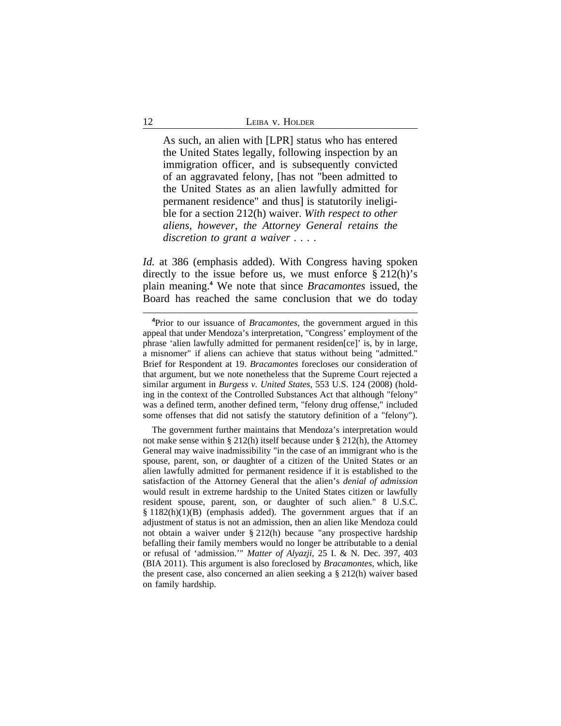As such, an alien with [LPR] status who has entered the United States legally, following inspection by an immigration officer, and is subsequently convicted of an aggravated felony, [has not "been admitted to the United States as an alien lawfully admitted for permanent residence" and thus] is statutorily ineligible for a section 212(h) waiver. *With respect to other aliens, however, the Attorney General retains the discretion to grant a waiver . . . .*

*Id.* at 386 (emphasis added). With Congress having spoken directly to the issue before us, we must enforce  $\S 212(h)$ 's plain meaning.**<sup>4</sup>** We note that since *Bracamontes* issued, the Board has reached the same conclusion that we do today

**<sup>4</sup>**Prior to our issuance of *Bracamontes*, the government argued in this appeal that under Mendoza's interpretation, "Congress' employment of the phrase 'alien lawfully admitted for permanent residen[ce]' is, by in large, a misnomer" if aliens can achieve that status without being "admitted." Brief for Respondent at 19. *Bracamontes* forecloses our consideration of that argument, but we note nonetheless that the Supreme Court rejected a similar argument in *Burgess v. United States*, 553 U.S. 124 (2008) (holding in the context of the Controlled Substances Act that although "felony" was a defined term, another defined term, "felony drug offense," included some offenses that did not satisfy the statutory definition of a "felony").

The government further maintains that Mendoza's interpretation would not make sense within § 212(h) itself because under § 212(h), the Attorney General may waive inadmissibility "in the case of an immigrant who is the spouse, parent, son, or daughter of a citizen of the United States or an alien lawfully admitted for permanent residence if it is established to the satisfaction of the Attorney General that the alien's *denial of admission* would result in extreme hardship to the United States citizen or lawfully resident spouse, parent, son, or daughter of such alien." 8 U.S.C.  $§ 1182(h)(1)(B)$  (emphasis added). The government argues that if an adjustment of status is not an admission, then an alien like Mendoza could not obtain a waiver under § 212(h) because "any prospective hardship befalling their family members would no longer be attributable to a denial or refusal of 'admission.'" *Matter of Alyazji*, 25 I. & N. Dec. 397, 403 (BIA 2011). This argument is also foreclosed by *Bracamontes*, which, like the present case, also concerned an alien seeking a § 212(h) waiver based on family hardship.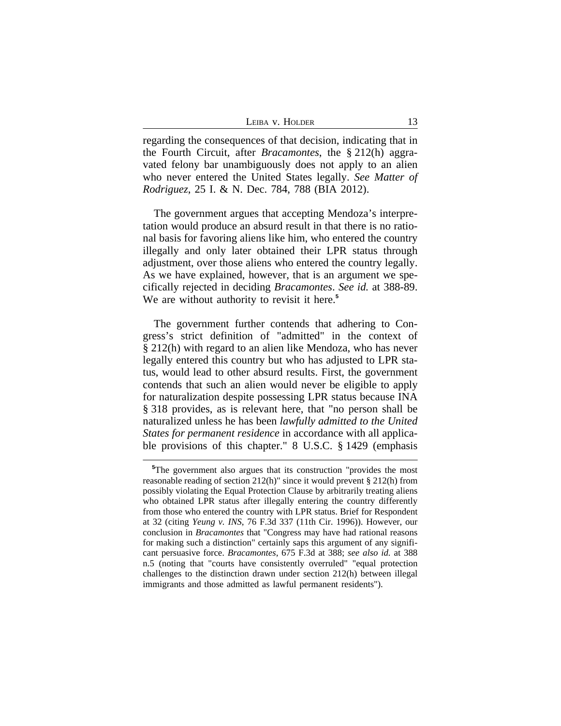| LEIBA V. HOLDER |  |
|-----------------|--|
|                 |  |

regarding the consequences of that decision, indicating that in the Fourth Circuit, after *Bracamontes*, the § 212(h) aggravated felony bar unambiguously does not apply to an alien who never entered the United States legally. *See Matter of Rodriguez*, 25 I. & N. Dec. 784, 788 (BIA 2012).

The government argues that accepting Mendoza's interpretation would produce an absurd result in that there is no rational basis for favoring aliens like him, who entered the country illegally and only later obtained their LPR status through adjustment, over those aliens who entered the country legally. As we have explained, however, that is an argument we specifically rejected in deciding *Bracamontes*. *See id.* at 388-89. We are without authority to revisit it here.**<sup>5</sup>**

The government further contends that adhering to Congress's strict definition of "admitted" in the context of § 212(h) with regard to an alien like Mendoza, who has never legally entered this country but who has adjusted to LPR status, would lead to other absurd results. First, the government contends that such an alien would never be eligible to apply for naturalization despite possessing LPR status because INA § 318 provides, as is relevant here, that "no person shall be naturalized unless he has been *lawfully admitted to the United States for permanent residence* in accordance with all applicable provisions of this chapter." 8 U.S.C. § 1429 (emphasis

**<sup>5</sup>**The government also argues that its construction "provides the most reasonable reading of section 212(h)" since it would prevent § 212(h) from possibly violating the Equal Protection Clause by arbitrarily treating aliens who obtained LPR status after illegally entering the country differently from those who entered the country with LPR status. Brief for Respondent at 32 (citing *Yeung v. INS*, 76 F.3d 337 (11th Cir. 1996)). However, our conclusion in *Bracamontes* that "Congress may have had rational reasons for making such a distinction" certainly saps this argument of any significant persuasive force. *Bracamontes*, 675 F.3d at 388; *see also id.* at 388 n.5 (noting that "courts have consistently overruled" "equal protection challenges to the distinction drawn under section 212(h) between illegal immigrants and those admitted as lawful permanent residents").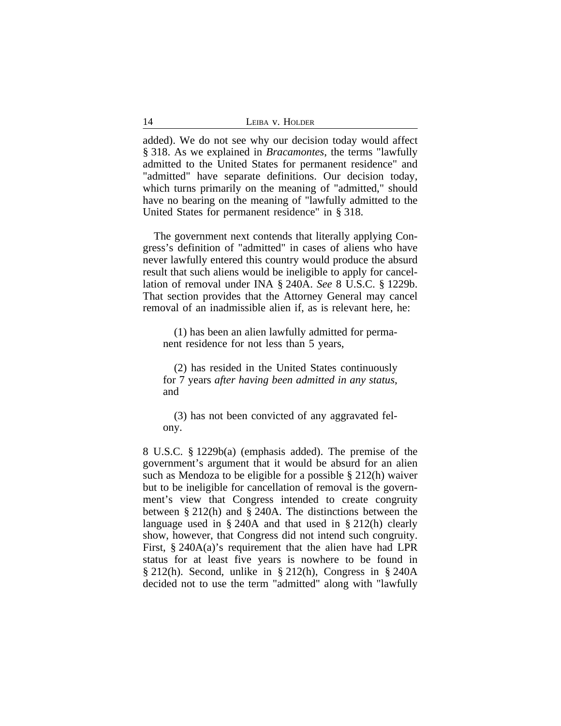| 14<br>LEIBA V. HOLDER |
|-----------------------|
|                       |

added). We do not see why our decision today would affect § 318. As we explained in *Bracamontes*, the terms "lawfully admitted to the United States for permanent residence" and "admitted" have separate definitions. Our decision today, which turns primarily on the meaning of "admitted," should have no bearing on the meaning of "lawfully admitted to the United States for permanent residence" in § 318.

The government next contends that literally applying Congress's definition of "admitted" in cases of aliens who have never lawfully entered this country would produce the absurd result that such aliens would be ineligible to apply for cancellation of removal under INA § 240A. *See* 8 U.S.C. § 1229b. That section provides that the Attorney General may cancel removal of an inadmissible alien if, as is relevant here, he:

(1) has been an alien lawfully admitted for permanent residence for not less than 5 years,

(2) has resided in the United States continuously for 7 years *after having been admitted in any status*, and

(3) has not been convicted of any aggravated felony.

8 U.S.C. § 1229b(a) (emphasis added). The premise of the government's argument that it would be absurd for an alien such as Mendoza to be eligible for a possible § 212(h) waiver but to be ineligible for cancellation of removal is the government's view that Congress intended to create congruity between § 212(h) and § 240A. The distinctions between the language used in § 240A and that used in § 212(h) clearly show, however, that Congress did not intend such congruity. First, § 240A(a)'s requirement that the alien have had LPR status for at least five years is nowhere to be found in  $\S 212(h)$ . Second, unlike in  $\S 212(h)$ , Congress in  $\S 240A$ decided not to use the term "admitted" along with "lawfully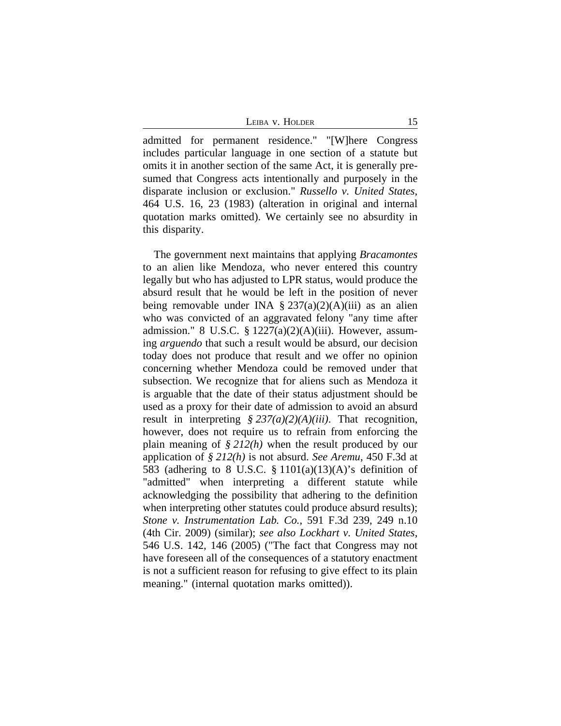LEIBA V. HOLDER 15

admitted for permanent residence." "[W]here Congress includes particular language in one section of a statute but omits it in another section of the same Act, it is generally presumed that Congress acts intentionally and purposely in the disparate inclusion or exclusion." *Russello v. United States*, 464 U.S. 16, 23 (1983) (alteration in original and internal quotation marks omitted). We certainly see no absurdity in this disparity.

The government next maintains that applying *Bracamontes* to an alien like Mendoza, who never entered this country legally but who has adjusted to LPR status, would produce the absurd result that he would be left in the position of never being removable under INA  $\S 237(a)(2)(A)(iii)$  as an alien who was convicted of an aggravated felony "any time after admission." 8 U.S.C.  $\S$  1227(a)(2)(A)(iii). However, assuming *arguendo* that such a result would be absurd, our decision today does not produce that result and we offer no opinion concerning whether Mendoza could be removed under that subsection. We recognize that for aliens such as Mendoza it is arguable that the date of their status adjustment should be used as a proxy for their date of admission to avoid an absurd result in interpreting *§ 237(a)(2)(A)(iii)*. That recognition, however, does not require us to refrain from enforcing the plain meaning of *§ 212(h)* when the result produced by our application of *§ 212(h)* is not absurd. *See Aremu*, 450 F.3d at 583 (adhering to 8 U.S.C.  $\S$  1101(a)(13)(A)'s definition of "admitted" when interpreting a different statute while acknowledging the possibility that adhering to the definition when interpreting other statutes could produce absurd results); *Stone v. Instrumentation Lab. Co.*, 591 F.3d 239, 249 n.10 (4th Cir. 2009) (similar); *see also Lockhart v. United States*, 546 U.S. 142, 146 (2005) ("The fact that Congress may not have foreseen all of the consequences of a statutory enactment is not a sufficient reason for refusing to give effect to its plain meaning." (internal quotation marks omitted)).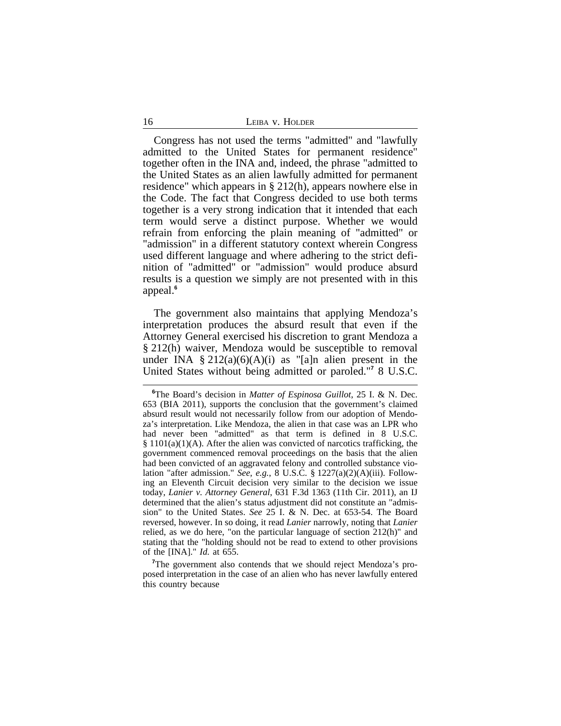| LEIBA V. HOLDER |
|-----------------|
|                 |

Congress has not used the terms "admitted" and "lawfully admitted to the United States for permanent residence" together often in the INA and, indeed, the phrase "admitted to the United States as an alien lawfully admitted for permanent residence" which appears in § 212(h), appears nowhere else in the Code. The fact that Congress decided to use both terms together is a very strong indication that it intended that each term would serve a distinct purpose. Whether we would refrain from enforcing the plain meaning of "admitted" or "admission" in a different statutory context wherein Congress used different language and where adhering to the strict definition of "admitted" or "admission" would produce absurd results is a question we simply are not presented with in this appeal.**<sup>6</sup>**

The government also maintains that applying Mendoza's interpretation produces the absurd result that even if the Attorney General exercised his discretion to grant Mendoza a § 212(h) waiver, Mendoza would be susceptible to removal under INA  $\S 212(a)(6)(A)(i)$  as "[a]n alien present in the United States without being admitted or paroled."**<sup>7</sup>** 8 U.S.C.

<sup>7</sup>The government also contends that we should reject Mendoza's proposed interpretation in the case of an alien who has never lawfully entered this country because

**<sup>6</sup>**The Board's decision in *Matter of Espinosa Guillot*, 25 I. & N. Dec. 653 (BIA 2011), supports the conclusion that the government's claimed absurd result would not necessarily follow from our adoption of Mendoza's interpretation. Like Mendoza, the alien in that case was an LPR who had never been "admitted" as that term is defined in 8 U.S.C.  $§ 1101(a)(1)(A)$ . After the alien was convicted of narcotics trafficking, the government commenced removal proceedings on the basis that the alien had been convicted of an aggravated felony and controlled substance violation "after admission." *See, e.g.*, 8 U.S.C. § 1227(a)(2)(A)(iii). Following an Eleventh Circuit decision very similar to the decision we issue today, *Lanier v. Attorney General*, 631 F.3d 1363 (11th Cir. 2011), an IJ determined that the alien's status adjustment did not constitute an "admission" to the United States. *See* 25 I. & N. Dec. at 653-54. The Board reversed, however. In so doing, it read *Lanier* narrowly, noting that *Lanier* relied, as we do here, "on the particular language of section 212(h)" and stating that the "holding should not be read to extend to other provisions of the [INA]." *Id.* at 655.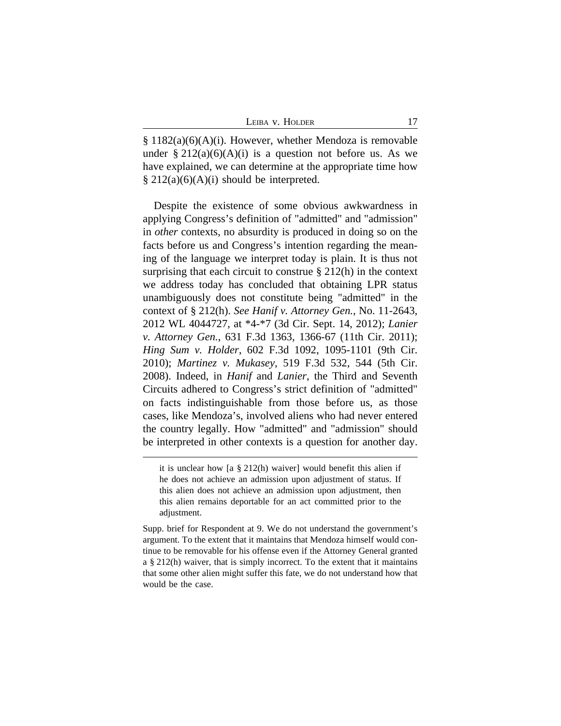§ 1182(a)(6)(A)(i). However, whether Mendoza is removable under  $\S 212(a)(6)(A)(i)$  is a question not before us. As we have explained, we can determine at the appropriate time how  $§$  212(a)(6)(A)(i) should be interpreted.

Despite the existence of some obvious awkwardness in applying Congress's definition of "admitted" and "admission" in *other* contexts, no absurdity is produced in doing so on the facts before us and Congress's intention regarding the meaning of the language we interpret today is plain. It is thus not surprising that each circuit to construe § 212(h) in the context we address today has concluded that obtaining LPR status unambiguously does not constitute being "admitted" in the context of § 212(h). *See Hanif v. Attorney Gen.*, No. 11-2643, 2012 WL 4044727, at \*4-\*7 (3d Cir. Sept. 14, 2012); *Lanier v. Attorney Gen.*, 631 F.3d 1363, 1366-67 (11th Cir. 2011); *Hing Sum v. Holder*, 602 F.3d 1092, 1095-1101 (9th Cir. 2010); *Martinez v. Mukasey*, 519 F.3d 532, 544 (5th Cir. 2008). Indeed, in *Hanif* and *Lanier*, the Third and Seventh Circuits adhered to Congress's strict definition of "admitted" on facts indistinguishable from those before us, as those cases, like Mendoza's, involved aliens who had never entered the country legally. How "admitted" and "admission" should be interpreted in other contexts is a question for another day.

it is unclear how [a § 212(h) waiver] would benefit this alien if he does not achieve an admission upon adjustment of status. If this alien does not achieve an admission upon adjustment, then this alien remains deportable for an act committed prior to the adjustment.

Supp. brief for Respondent at 9. We do not understand the government's argument. To the extent that it maintains that Mendoza himself would continue to be removable for his offense even if the Attorney General granted a § 212(h) waiver, that is simply incorrect. To the extent that it maintains that some other alien might suffer this fate, we do not understand how that would be the case.